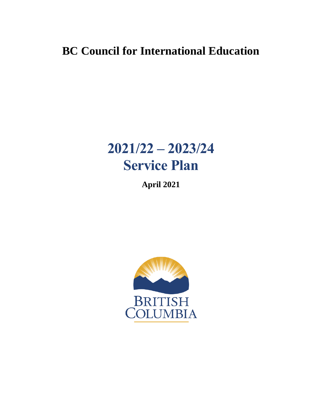## **BC Council for International Education**

# **2021/22 – 2023/24 Service Plan**

**April 2021**

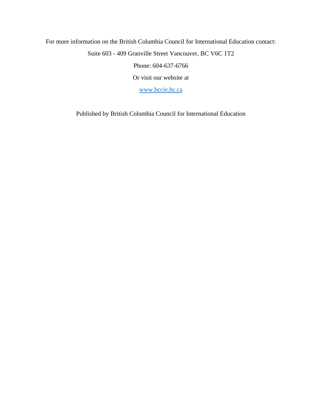### For more information on the British Columbia Council for International Education contact: Suite 603 - 409 Granville Street Vancouver, BC V6C 1T2 Phone: 604-637-6766 Or visit our website at

[www.bccie.bc.ca](http://www.bccie.bc.ca/)

Published by British Columbia Council for International Education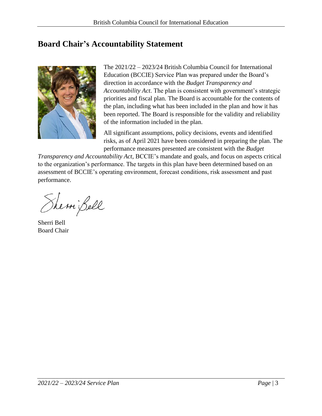### <span id="page-2-0"></span>**Board Chair's Accountability Statement**



The 2021/22 – 2023/24 British Columbia Council for International Education (BCCIE) Service Plan was prepared under the Board's direction in accordance with the *Budget Transparency and Accountability Act*. The plan is consistent with government's strategic priorities and fiscal plan. The Board is accountable for the contents of the plan, including what has been included in the plan and how it has been reported. The Board is responsible for the validity and reliability of the information included in the plan.

All significant assumptions, policy decisions, events and identified risks, as of April 2021 have been considered in preparing the plan. The performance measures presented are consistent with the *Budget* 

*Transparency and Accountability Act*, BCCIE's mandate and goals, and focus on aspects critical to the organization's performance. The targets in this plan have been determined based on an assessment of BCCIE's operating environment, forecast conditions, risk assessment and past performance.

Sherni Bell

Sherri Bell Board Chair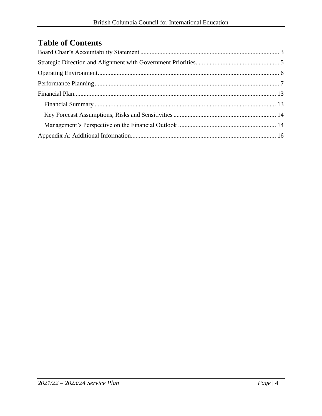### **Table of Contents**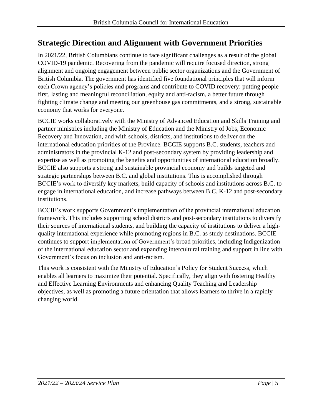### <span id="page-4-0"></span>**Strategic Direction and Alignment with Government Priorities**

In 2021/22, British Columbians continue to face significant challenges as a result of the global COVID-19 pandemic. Recovering from the pandemic will require focused direction, strong alignment and ongoing engagement between public sector organizations and the Government of British Columbia. The government has identified five foundational principles that will inform each Crown agency's policies and programs and contribute to COVID recovery: putting people first, lasting and meaningful reconciliation, equity and anti-racism, a better future through fighting climate change and meeting our greenhouse gas commitments, and a strong, sustainable economy that works for everyone.

BCCIE works collaboratively with the Ministry of Advanced Education and Skills Training and partner ministries including the Ministry of Education and the Ministry of Jobs, Economic Recovery and Innovation, and with schools, districts, and institutions to deliver on the international education priorities of the Province. BCCIE supports B.C. students, teachers and administrators in the provincial K-12 and post-secondary system by providing leadership and expertise as well as promoting the benefits and opportunities of international education broadly. BCCIE also supports a strong and sustainable provincial economy and builds targeted and strategic partnerships between B.C. and global institutions. This is accomplished through BCCIE's work to diversify key markets, build capacity of schools and institutions across B.C. to engage in international education, and increase pathways between B.C. K-12 and post-secondary institutions.

BCCIE's work supports Government's implementation of the provincial international education framework. This includes supporting school districts and post-secondary institutions to diversify their sources of international students, and building the capacity of institutions to deliver a highquality international experience while promoting regions in B.C. as study destinations. BCCIE continues to support implementation of Government's broad priorities, including Indigenization of the international education sector and expanding intercultural training and support in line with Government's focus on inclusion and anti-racism.

This work is consistent with the Ministry of Education's Policy for Student Success, which enables all learners to maximize their potential. Specifically, they align with fostering Healthy and Effective Learning Environments and enhancing Quality Teaching and Leadership objectives, as well as promoting a future orientation that allows learners to thrive in a rapidly changing world.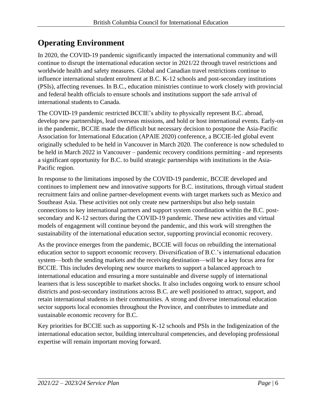### <span id="page-5-0"></span>**Operating Environment**

In 2020, the COVID-19 pandemic significantly impacted the international community and will continue to disrupt the international education sector in 2021/22 through travel restrictions and worldwide health and safety measures. Global and Canadian travel restrictions continue to influence international student enrolment at B.C. K-12 schools and post-secondary institutions (PSIs), affecting revenues. In B.C., education ministries continue to work closely with provincial and federal health officials to ensure schools and institutions support the safe arrival of international students to Canada.

The COVID-19 pandemic restricted BCCIE's ability to physically represent B.C. abroad, develop new partnerships, lead overseas missions, and hold or host international events. Early-on in the pandemic, BCCIE made the difficult but necessary decision to postpone the Asia-Pacific Association for International Education (APAIE 2020) conference, a BCCIE-led global event originally scheduled to be held in Vancouver in March 2020. The conference is now scheduled to be held in March 2022 in Vancouver – pandemic recovery conditions permitting - and represents a significant opportunity for B.C. to build strategic partnerships with institutions in the Asia-Pacific region.

In response to the limitations imposed by the COVID-19 pandemic, BCCIE developed and continues to implement new and innovative supports for B.C. institutions, through virtual student recruitment fairs and online partner-development events with target markets such as Mexico and Southeast Asia. These activities not only create new partnerships but also help sustain connections to key international partners and support system coordination within the B.C. postsecondary and K-12 sectors during the COVID-19 pandemic. These new activities and virtual models of engagement will continue beyond the pandemic, and this work will strengthen the sustainability of the international education sector, supporting provincial economic recovery.

As the province emerges from the pandemic, BCCIE will focus on rebuilding the international education sector to support economic recovery. Diversification of B.C.'s international education system—both the sending markets and the receiving destination—will be a key focus area for BCCIE. This includes developing new source markets to support a balanced approach to international education and ensuring a more sustainable and diverse supply of international learners that is less susceptible to market shocks. It also includes ongoing work to ensure school districts and post-secondary institutions across B.C. are well positioned to attract, support, and retain international students in their communities. A strong and diverse international education sector supports local economies throughout the Province, and contributes to immediate and sustainable economic recovery for B.C.

Key priorities for BCCIE such as supporting K-12 schools and PSIs in the Indigenization of the international education sector, building intercultural competencies, and developing professional expertise will remain important moving forward.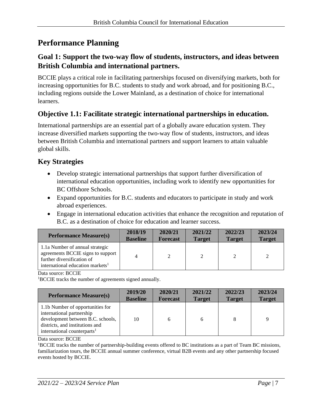### <span id="page-6-0"></span>**Performance Planning**

#### **Goal 1: Support the two-way flow of students, instructors, and ideas between British Columbia and international partners.**

BCCIE plays a critical role in facilitating partnerships focused on diversifying markets, both for increasing opportunities for B.C. students to study and work abroad, and for positioning B.C., including regions outside the Lower Mainland, as a destination of choice for international learners.

#### **Objective 1.1: Facilitate strategic international partnerships in education.**

International partnerships are an essential part of a globally aware education system. They increase diversified markets supporting the two-way flow of students, instructors, and ideas between British Columbia and international partners and support learners to attain valuable global skills.

#### **Key Strategies**

- Develop strategic international partnerships that support further diversification of international education opportunities, including work to identify new opportunities for BC Offshore Schools.
- Expand opportunities for B.C. students and educators to participate in study and work abroad experiences.
- Engage in international education activities that enhance the recognition and reputation of B.C. as a destination of choice for education and learner success.

| <b>Performance Measure(s)</b>                                                                                                                      | 2018/19         | 2020/21         | 2021/22       | 2022/23       | 2023/24       |
|----------------------------------------------------------------------------------------------------------------------------------------------------|-----------------|-----------------|---------------|---------------|---------------|
|                                                                                                                                                    | <b>Baseline</b> | <b>Forecast</b> | <b>Target</b> | <b>Target</b> | <b>Target</b> |
| 1.1a Number of annual strategic<br>agreements BCCIE signs to support<br>further diversification of<br>international education markets <sup>1</sup> | 4               | 2               | 2             | 2             | 2             |

Data source: BCCIE

<sup>1</sup>BCCIE tracks the number of agreements signed annually.

| <b>Performance Measure(s)</b>                                                                                                                                                    | 2019/20         | 2020/21         | 2021/22       | 2022/23       | 2023/24       |
|----------------------------------------------------------------------------------------------------------------------------------------------------------------------------------|-----------------|-----------------|---------------|---------------|---------------|
|                                                                                                                                                                                  | <b>Baseline</b> | <b>Forecast</b> | <b>Target</b> | <b>Target</b> | <b>Target</b> |
| 1.1b Number of opportunities for<br>international partnership<br>development between B.C. schools,<br>districts, and institutions and<br>international counterparts <sup>1</sup> | 10              | 6               | 6             | 8             | q             |

Data source: BCCIE

<sup>1</sup>BCCIE tracks the number of partnership-building events offered to BC institutions as a part of Team BC missions, familiarization tours, the BCCIE annual summer conference, virtual B2B events and any other partnership focused events hosted by BCCIE.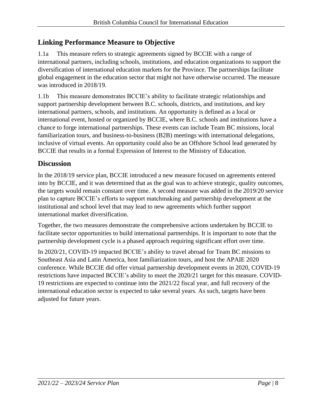#### **Linking Performance Measure to Objective**

1.1a This measure refers to strategic agreements signed by BCCIE with a range of international partners, including schools, institutions, and education organizations to support the diversification of international education markets for the Province. The partnerships facilitate global engagement in the education sector that might not have otherwise occurred. The measure was introduced in 2018/19.

1.1b This measure demonstrates BCCIE's ability to facilitate strategic relationships and support partnership development between B.C. schools, districts, and institutions, and key international partners, schools, and institutions. An opportunity is defined as a local or international event, hosted or organized by BCCIE, where B.C. schools and institutions have a chance to forge international partnerships. These events can include Team BC missions, local familiarization tours, and business-to-business (B2B) meetings with international delegations, inclusive of virtual events. An opportunity could also be an Offshore School lead generated by BCCIE that results in a formal Expression of Interest to the Ministry of Education.

#### **Discussion**

In the 2018/19 service plan, BCCIE introduced a new measure focused on agreements entered into by BCCIE, and it was determined that as the goal was to achieve strategic, quality outcomes, the targets would remain constant over time. A second measure was added in the 2019/20 service plan to capture BCCIE's efforts to support matchmaking and partnership development at the institutional and school level that may lead to new agreements which further support international market diversification.

Together, the two measures demonstrate the comprehensive actions undertaken by BCCIE to facilitate sector opportunities to build international partnerships. It is important to note that the partnership development cycle is a phased approach requiring significant effort over time.

In 2020/21, COVID-19 impacted BCCIE's ability to travel abroad for Team BC missions to Southeast Asia and Latin America, host familiarization tours, and host the APAIE 2020 conference. While BCCIE did offer virtual partnership development events in 2020, COVID-19 restrictions have impacted BCCIE's ability to meet the 2020/21 target for this measure. COVID-19 restrictions are expected to continue into the 2021/22 fiscal year, and full recovery of the international education sector is expected to take several years. As such, targets have been adjusted for future years.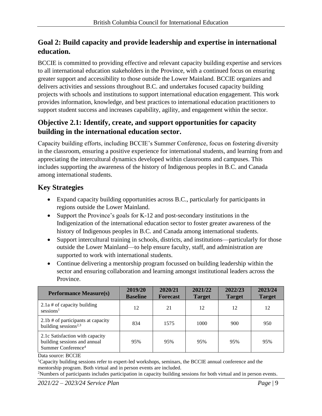#### **Goal 2: Build capacity and provide leadership and expertise in international education.**

BCCIE is committed to providing effective and relevant capacity building expertise and services to all international education stakeholders in the Province, with a continued focus on ensuring greater support and accessibility to those outside the Lower Mainland. BCCIE organizes and delivers activities and sessions throughout B.C. and undertakes focused capacity building projects with schools and institutions to support international education engagement. This work provides information, knowledge, and best practices to international education practitioners to support student success and increases capability, agility, and engagement within the sector.

#### **Objective 2.1: Identify, create, and support opportunities for capacity building in the international education sector.**

Capacity building efforts, including BCCIE's Summer Conference, focus on fostering diversity in the classroom, ensuring a positive experience for international students, and learning from and appreciating the intercultural dynamics developed within classrooms and campuses. This includes supporting the awareness of the history of Indigenous peoples in B.C. and Canada among international students.

#### **Key Strategies**

- Expand capacity building opportunities across B.C., particularly for participants in regions outside the Lower Mainland.
- Support the Province's goals for K-12 and post-secondary institutions in the Indigenization of the international education sector to foster greater awareness of the history of Indigenous peoples in B.C. and Canada among international students.
- Support intercultural training in schools, districts, and institutions—particularly for those outside the Lower Mainland—to help ensure faculty, staff, and administration are supported to work with international students.
- Continue delivering a mentorship program focussed on building leadership within the sector and ensuring collaboration and learning amongst institutional leaders across the Province.

| <b>Performance Measure(s)</b>                                                                     | 2019/20<br><b>Baseline</b> | 2020/21<br><b>Forecast</b> | 2021/22<br><b>Target</b> | 2022/23<br><b>Target</b> | 2023/24<br><b>Target</b> |
|---------------------------------------------------------------------------------------------------|----------------------------|----------------------------|--------------------------|--------------------------|--------------------------|
| $2.1a \#$ of capacity building<br>$s$ essions <sup>1</sup>                                        | 12                         | 21                         | 12                       | 12                       | 12                       |
| 2.1b # of participants at capacity<br>building sessions <sup>2,3</sup>                            | 834                        | 1575                       | 1000                     | 900                      | 950                      |
| 2.1c Satisfaction with capacity<br>building sessions and annual<br>Summer Conference <sup>4</sup> | 95%                        | 95%                        | 95%                      | 95%                      | 95%                      |

Data source: BCCIE

<sup>1</sup>Capacity building sessions refer to expert-led workshops, seminars, the BCCIE annual conference and the mentorship program. Both virtual and in person events are included.

<sup>2</sup>Numbers of participants includes participation in capacity building sessions for both virtual and in person events.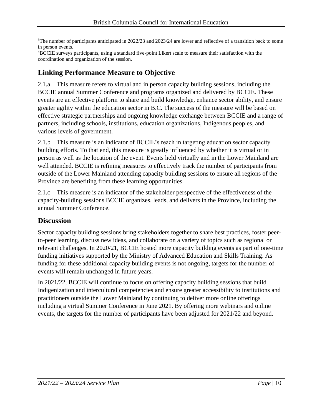<sup>3</sup>The number of participants anticipated in 2022/23 and 2023/24 are lower and reflective of a transition back to some in person events.

<sup>4</sup>BCCIE surveys participants, using a standard five-point Likert scale to measure their satisfaction with the coordination and organization of the session.

#### **Linking Performance Measure to Objective**

2.1.a This measure refers to virtual and in person capacity building sessions, including the BCCIE annual Summer Conference and programs organized and delivered by BCCIE. These events are an effective platform to share and build knowledge, enhance sector ability, and ensure greater agility within the education sector in B.C. The success of the measure will be based on effective strategic partnerships and ongoing knowledge exchange between BCCIE and a range of partners, including schools, institutions, education organizations, Indigenous peoples, and various levels of government.

2.1.b This measure is an indicator of BCCIE's reach in targeting education sector capacity building efforts. To that end, this measure is greatly influenced by whether it is virtual or in person as well as the location of the event. Events held virtually and in the Lower Mainland are well attended. BCCIE is refining measures to effectively track the number of participants from outside of the Lower Mainland attending capacity building sessions to ensure all regions of the Province are benefiting from these learning opportunities.

2.1.c This measure is an indicator of the stakeholder perspective of the effectiveness of the capacity-building sessions BCCIE organizes, leads, and delivers in the Province, including the annual Summer Conference.

#### **Discussion**

Sector capacity building sessions bring stakeholders together to share best practices, foster peerto-peer learning, discuss new ideas, and collaborate on a variety of topics such as regional or relevant challenges. In 2020/21, BCCIE hosted more capacity building events as part of one-time funding initiatives supported by the Ministry of Advanced Education and Skills Training. As funding for these additional capacity building events is not ongoing, targets for the number of events will remain unchanged in future years.

In 2021/22, BCCIE will continue to focus on offering capacity building sessions that build Indigenization and intercultural competencies and ensure greater accessibility to institutions and practitioners outside the Lower Mainland by continuing to deliver more online offerings including a virtual Summer Conference in June 2021. By offering more webinars and online events, the targets for the number of participants have been adjusted for 2021/22 and beyond.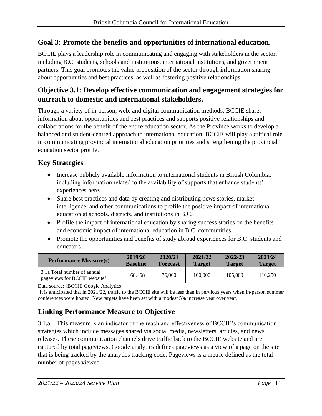#### **Goal 3: Promote the benefits and opportunities of international education.**

BCCIE plays a leadership role in communicating and engaging with stakeholders in the sector, including B.C. students, schools and institutions, international institutions, and government partners. This goal promotes the value proposition of the sector through information sharing about opportunities and best practices, as well as fostering positive relationships.

#### **Objective 3.1: Develop effective communication and engagement strategies for outreach to domestic and international stakeholders.**

Through a variety of in-person, web, and digital communication methods, BCCIE shares information about opportunities and best practices and supports positive relationships and collaborations for the benefit of the entire education sector. As the Province works to develop a balanced and student-centred approach to international education, BCCIE will play a critical role in communicating provincial international education priorities and strengthening the provincial education sector profile.

#### **Key Strategies**

- Increase publicly available information to international students in British Columbia, including information related to the availability of supports that enhance students' experiences here.
- Share best practices and data by creating and distributing news stories, market intelligence, and other communications to profile the positive impact of international education at schools, districts, and institutions in B.C.
- Profile the impact of international education by sharing success stories on the benefits and economic impact of international education in B.C. communities.
- Promote the opportunities and benefits of study abroad experiences for B.C. students and educators.

| <b>Performance Measure(s)</b>                                           | 2019/20         | 2020/21         | 2021/22       | 2022/23       | 2023/24       |
|-------------------------------------------------------------------------|-----------------|-----------------|---------------|---------------|---------------|
|                                                                         | <b>Baseline</b> | <b>Forecast</b> | <b>Target</b> | <b>Target</b> | <b>Target</b> |
| 3.1a Total number of annual<br>pageviews for BCCIE website <sup>1</sup> | 168,468         | 76,000          | 100,000       | 105,000       | 110.250       |

Data source: [BCCIE Google Analytics]

<sup>1</sup>It is anticipated that in 2021/22, traffic to the BCCIE site will be less than in pervious years when in-person summer conferences were hosted. New targets have been set with a modest 5% increase year over year.

#### **Linking Performance Measure to Objective**

3.1.a This measure is an indicator of the reach and effectiveness of BCCIE's communication strategies which include messages shared via social media, newsletters, articles, and news releases. These communication channels drive traffic back to the BCCIE website and are captured by total pageviews. Google analytics defines pageviews as a view of a page on the site that is being tracked by the analytics tracking code. Pageviews is a metric defined as the total number of pages viewed.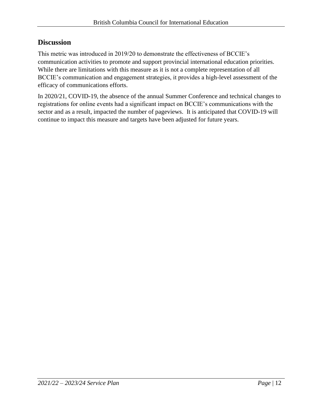#### **Discussion**

This metric was introduced in 2019/20 to demonstrate the effectiveness of BCCIE's communication activities to promote and support provincial international education priorities. While there are limitations with this measure as it is not a complete representation of all BCCIE's communication and engagement strategies, it provides a high-level assessment of the efficacy of communications efforts.

In 2020/21, COVID-19, the absence of the annual Summer Conference and technical changes to registrations for online events had a significant impact on BCCIE's communications with the sector and as a result, impacted the number of pageviews. It is anticipated that COVID-19 will continue to impact this measure and targets have been adjusted for future years.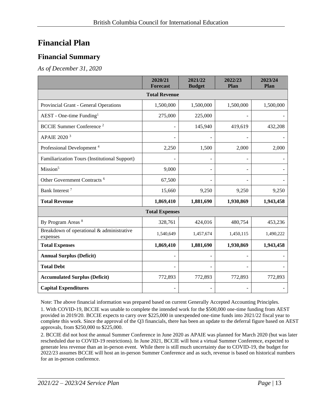### <span id="page-12-0"></span>**Financial Plan**

#### <span id="page-12-1"></span>**Financial Summary**

*As of December 31, 2020*

|                                                       | 2020/21<br><b>Forecast</b> | 2021/22<br><b>Budget</b> | 2022/23<br>Plan          | 2023/24<br>Plan |  |  |  |
|-------------------------------------------------------|----------------------------|--------------------------|--------------------------|-----------------|--|--|--|
| <b>Total Revenue</b>                                  |                            |                          |                          |                 |  |  |  |
| Provincial Grant - General Operations                 | 1,500,000                  | 1,500,000                | 1,500,000                | 1,500,000       |  |  |  |
| $AEST - One-time Funding1$                            | 275,000                    | 225,000                  |                          |                 |  |  |  |
| <b>BCCIE Summer Conference</b> <sup>2</sup>           |                            | 145,940                  | 419,619                  | 432,208         |  |  |  |
| APAIE 2020 <sup>3</sup>                               |                            |                          |                          |                 |  |  |  |
| Professional Development <sup>4</sup>                 | 2,250                      | 1,500                    | 2,000                    | 2,000           |  |  |  |
| Familiarization Tours (Institutional Support)         |                            |                          |                          |                 |  |  |  |
| Mission <sup>5</sup>                                  | 9,000                      |                          | $\overline{\phantom{a}}$ |                 |  |  |  |
| Other Government Contracts <sup>6</sup>               | 67,500                     |                          |                          |                 |  |  |  |
| Bank Interest <sup>7</sup>                            | 15,660                     | 9,250                    | 9,250                    | 9,250           |  |  |  |
| <b>Total Revenue</b>                                  | 1,869,410                  | 1,881,690                | 1,930,869                | 1,943,458       |  |  |  |
|                                                       | <b>Total Expenses</b>      |                          |                          |                 |  |  |  |
| By Program Areas <sup>8</sup>                         | 328,761                    | 424,016                  | 480,754                  | 453,236         |  |  |  |
| Breakdown of operational & administrative<br>expenses | 1,540,649                  | 1,457,674                | 1,450,115                | 1,490,222       |  |  |  |
| <b>Total Expenses</b>                                 | 1,869,410                  | 1,881,690                | 1,930,869                | 1,943,458       |  |  |  |
| <b>Annual Surplus (Deficit)</b>                       |                            |                          |                          |                 |  |  |  |
| <b>Total Debt</b>                                     |                            |                          |                          |                 |  |  |  |
| <b>Accumulated Surplus (Deficit)</b>                  | 772,893                    | 772,893                  | 772,893                  | 772,893         |  |  |  |
| <b>Capital Expenditures</b>                           |                            |                          |                          |                 |  |  |  |

Note: The above financial information was prepared based on current Generally Accepted Accounting Principles.

1. With COVID-19, BCCIE was unable to complete the intended work for the \$500,000 one-time funding from AEST provided in 2019/20. BCCIE expects to carry over \$225,000 in unexpended one-time funds into 2021/22 fiscal year to complete this work. Since the approval of the Q3 financials, there has been an update to the deferral figure based on AEST approvals, from \$250,000 to \$225,000.

2. BCCIE did not host the annual Summer Conference in June 2020 as APAIE was planned for March 2020 (but was later rescheduled due to COVID-19 restrictions). In June 2021, BCCIE will host a virtual Summer Conference, expected to generate less revenue than an in-person event. While there is still much uncertainty due to COVID-19, the budget for 2022/23 assumes BCCIE will host an in-person Summer Conference and as such, revenue is based on historical numbers for an in-person conference.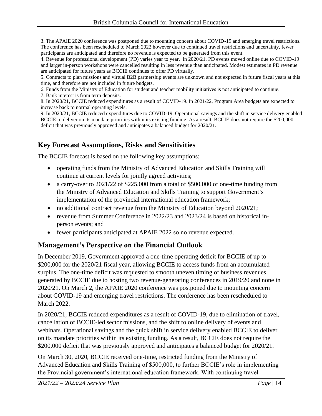3. The APAIE 2020 conference was postponed due to mounting concern about COVID-19 and emerging travel restrictions. The conference has been rescheduled to March 2022 however due to continued travel restrictions and uncertainty, fewer participants are anticipated and therefore no revenue is expected to be generated from this event.

4. Revenue for professional development (PD) varies year to year. In 2020/21, PD events moved online due to COVID-19 and larger in-person workshops were cancelled resulting in less revenue than anticipated. Modest estimates in PD revenue are anticipated for future years as BCCIE continues to offer PD virtually.

5. Contracts to plan missions and virtual B2B partnership events are unknown and not expected in future fiscal years at this time, and therefore are not included in future budgets.

6. Funds from the Ministry of Education for student and teacher mobility initiatives is not anticipated to continue. 7. Bank interest is from term deposits.

8. In 2020/21, BCCIE reduced expenditures as a result of COVID-19. In 2021/22, Program Area budgets are expected to increase back to normal operating levels.

9. In 2020/21, BCCIE reduced expenditures due to COVID-19. Operational savings and the shift in service delivery enabled BCCIE to deliver on its mandate priorities within its existing funding. As a result, BCCIE does not require the \$200,000 deficit that was previously approved and anticipates a balanced budget for 2020/21.

#### <span id="page-13-0"></span>**Key Forecast Assumptions, Risks and Sensitivities**

The BCCIE forecast is based on the following key assumptions:

- operating funds from the Ministry of Advanced Education and Skills Training will continue at current levels for jointly agreed activities;
- a carry-over to  $2021/22$  of \$225,000 from a total of \$500,000 of one-time funding from the Ministry of Advanced Education and Skills Training to support Government's implementation of the provincial international education framework;
- no additional contract revenue from the Ministry of Education beyond 2020/21;
- revenue from Summer Conference in 2022/23 and 2023/24 is based on historical inperson events; and
- fewer participants anticipated at APAIE 2022 so no revenue expected.

#### <span id="page-13-1"></span>**Management's Perspective on the Financial Outlook**

In December 2019, Government approved a one-time operating deficit for BCCIE of up to \$200,000 for the 2020/21 fiscal year, allowing BCCIE to access funds from an accumulated surplus. The one-time deficit was requested to smooth uneven timing of business revenues generated by BCCIE due to hosting two revenue-generating conferences in 2019/20 and none in 2020/21. On March 2, the APAIE 2020 conference was postponed due to mounting concern about COVID-19 and emerging travel restrictions. The conference has been rescheduled to March 2022.

In 2020/21, BCCIE reduced expenditures as a result of COVID-19, due to elimination of travel, cancellation of BCCIE-led sector missions, and the shift to online delivery of events and webinars. Operational savings and the quick shift in service delivery enabled BCCIE to deliver on its mandate priorities within its existing funding. As a result, BCCIE does not require the \$200,000 deficit that was previously approved and anticipates a balanced budget for 2020/21.

On March 30, 2020, BCCIE received one-time, restricted funding from the Ministry of Advanced Education and Skills Training of \$500,000, to further BCCIE's role in implementing the Provincial government's international education framework. With continuing travel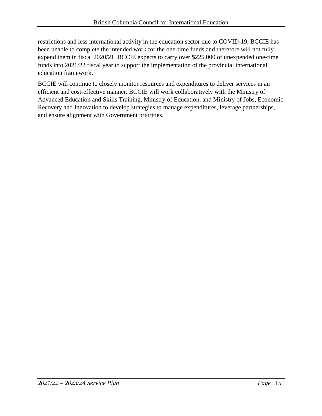restrictions and less international activity in the education sector due to COVID-19, BCCIE has been unable to complete the intended work for the one-time funds and therefore will not fully expend them in fiscal 2020/21. BCCIE expects to carry over \$225,000 of unexpended one-time funds into 2021/22 fiscal year to support the implementation of the provincial international education framework.

BCCIE will continue to closely monitor resources and expenditures to deliver services in an efficient and cost-effective manner. BCCIE will work collaboratively with the Ministry of Advanced Education and Skills Training, Ministry of Education, and Ministry of Jobs, Economic Recovery and Innovation to develop strategies to manage expenditures, leverage partnerships, and ensure alignment with Government priorities.